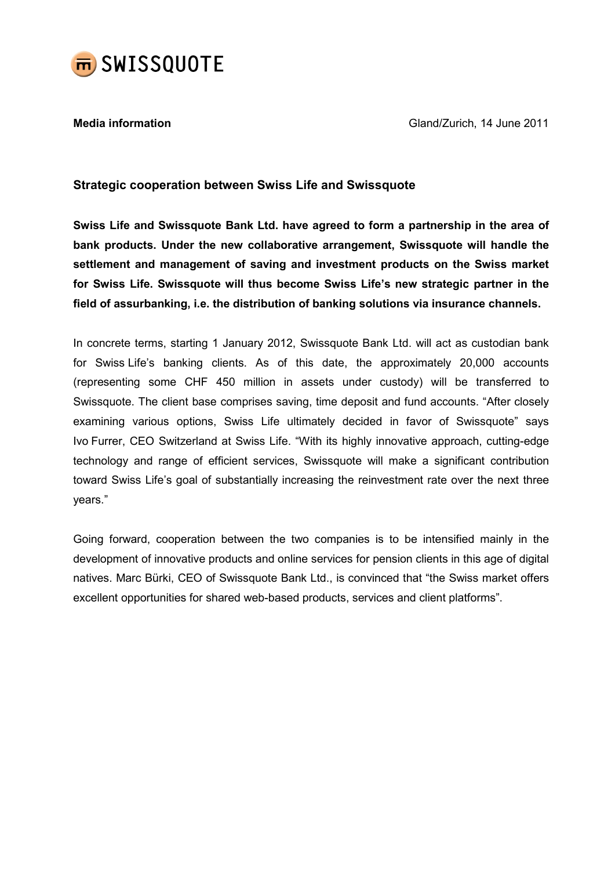

**Media information** Media information Gland/Zurich, 14 June 2011

## Strategic cooperation between Swiss Life and Swissquote

Swiss Life and Swissquote Bank Ltd. have agreed to form a partnership in the area of bank products. Under the new collaborative arrangement, Swissquote will handle the settlement and management of saving and investment products on the Swiss market for Swiss Life. Swissquote will thus become Swiss Life's new strategic partner in the field of assurbanking, i.e. the distribution of banking solutions via insurance channels.

In concrete terms, starting 1 January 2012, Swissquote Bank Ltd. will act as custodian bank for Swiss Life's banking clients. As of this date, the approximately 20,000 accounts (representing some CHF 450 million in assets under custody) will be transferred to Swissquote. The client base comprises saving, time deposit and fund accounts. "After closely examining various options, Swiss Life ultimately decided in favor of Swissquote" says Ivo Furrer, CEO Switzerland at Swiss Life. "With its highly innovative approach, cutting-edge technology and range of efficient services, Swissquote will make a significant contribution toward Swiss Life's goal of substantially increasing the reinvestment rate over the next three years."

Going forward, cooperation between the two companies is to be intensified mainly in the development of innovative products and online services for pension clients in this age of digital natives. Marc Bürki, CEO of Swissquote Bank Ltd., is convinced that "the Swiss market offers excellent opportunities for shared web-based products, services and client platforms".